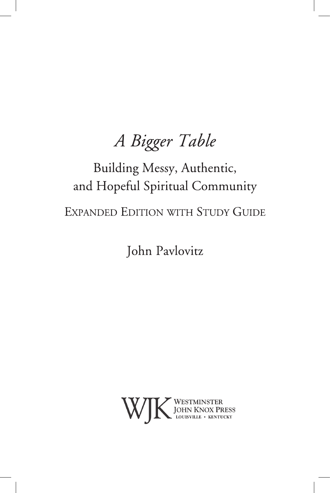A Bigger Table

# Building Messy, Authentic, and Hopeful Spiritual Community

EXPANDED EDITION WITH STUDY GUIDE

John Pavlovitz

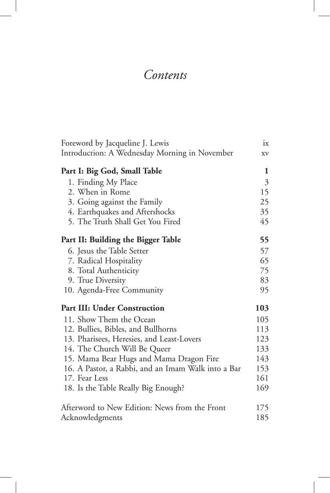## *Contents*

| Foreword by Jacqueline J. Lewis                    | 1X             |
|----------------------------------------------------|----------------|
| Introduction: A Wednesday Morning in November      | XV             |
| Part I: Big God, Small Table                       | 1              |
| 1. Finding My Place                                | $\mathfrak{Z}$ |
| 2. When in Rome                                    | 15             |
| 3. Going against the Family                        | 25             |
| 4. Earthquakes and Aftershocks                     | 35             |
| 5. The Truth Shall Get You Fired                   | 45             |
| Part II: Building the Bigger Table                 | 55             |
| 6. Jesus the Table Setter                          | 57             |
| 7. Radical Hospitality                             | 65             |
| 8. Total Authenticity                              | 75             |
| 9. True Diversity                                  | 83             |
| 10. Agenda-Free Community                          | 95             |
| <b>Part III: Under Construction</b>                | 103            |
| 11. Show Them the Ocean                            | 105            |
| 12. Bullies, Bibles, and Bullhorns                 | 113            |
| 13. Pharisees, Heresies, and Least-Lovers          | 123            |
| 14. The Church Will Be Queer                       | 133            |
| 15. Mama Bear Hugs and Mama Dragon Fire            | 143            |
| 16. A Pastor, a Rabbi, and an Imam Walk into a Bar | 153            |
| 17. Fear Less                                      | 161            |
| 18. Is the Table Really Big Enough?                | 169            |
| Afterword to New Edition: News from the Front      | 175            |
| Acknowledgments                                    | 185            |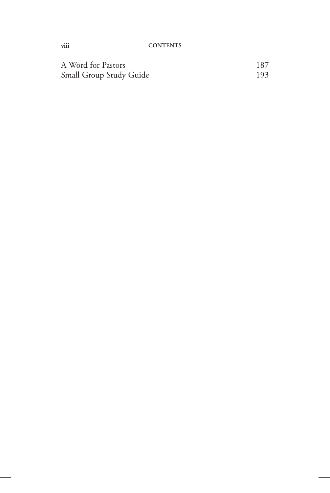| A Word for Pastors      | 187 |
|-------------------------|-----|
| Small Group Study Guide | 193 |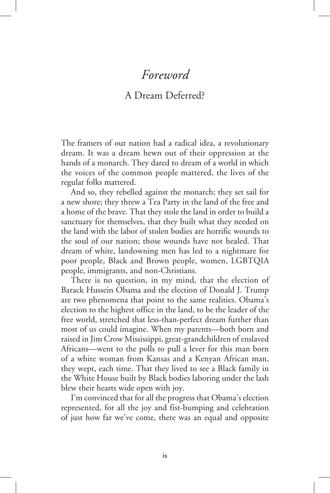## *Foreword*

### A Dream Deferred?

The framers of our nation had a radical idea, a revolutionary dream. It was a dream hewn out of their oppression at the hands of a monarch. They dared to dream of a world in which the voices of the common people mattered, the lives of the regular folks mattered.

And so, they rebelled against the monarch; they set sail for a new shore; they threw a Tea Party in the land of the free and a home of the brave. That they stole the land in order to build a sanctuary for themselves, that they built what they needed on the land with the labor of stolen bodies are horrific wounds to the soul of our nation; those wounds have not healed. That dream of white, landowning men has led to a nightmare for poor people, Black and Brown people, women, LGBTQIA people, immigrants, and non-Christians.

There is no question, in my mind, that the election of Barack Hussein Obama and the election of Donald J. Trump are two phenomena that point to the same realities. Obama's election to the highest office in the land, to be the leader of the free world, stretched that less-than-perfect dream further than most of us could imagine. When my parents—both born and raised in Jim Crow Mississippi, great-grandchildren of enslaved Africans—went to the polls to pull a lever for this man born of a white woman from Kansas and a Kenyan African man, they wept, each time. That they lived to see a Black family in the White House built by Black bodies laboring under the lash blew their hearts wide open with joy.

I'm convinced that for all the progress that Obama's election represented, for all the joy and fist-bumping and celebration of just how far we've come, there was an equal and opposite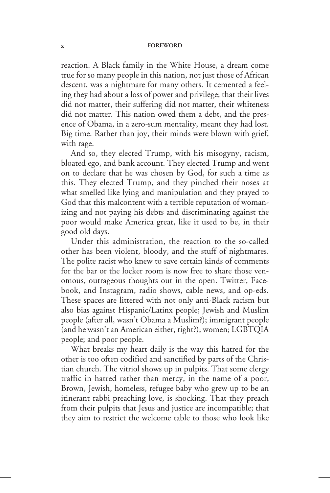reaction. A Black family in the White House, a dream come true for so many people in this nation, not just those of African descent, was a nightmare for many others. It cemented a feeling they had about a loss of power and privilege; that their lives did not matter, their suffering did not matter, their whiteness did not matter. This nation owed them a debt, and the presence of Obama, in a zero-sum mentality, meant they had lost. Big time. Rather than joy, their minds were blown with grief, with rage.

And so, they elected Trump, with his misogyny, racism, bloated ego, and bank account. They elected Trump and went on to declare that he was chosen by God, for such a time as this. They elected Trump, and they pinched their noses at what smelled like lying and manipulation and they prayed to God that this malcontent with a terrible reputation of womanizing and not paying his debts and discriminating against the poor would make America great, like it used to be, in their good old days.

Under this administration, the reaction to the so-called other has been violent, bloody, and the stuff of nightmares. The polite racist who knew to save certain kinds of comments for the bar or the locker room is now free to share those venomous, outrageous thoughts out in the open. Twitter, Facebook, and Instagram, radio shows, cable news, and op-eds. These spaces are littered with not only anti-Black racism but also bias against Hispanic/Latinx people; Jewish and Muslim people (after all, wasn't Obama a Muslim?); immigrant people (and he wasn't an American either, right?); women; LGBTQIA people; and poor people.

What breaks my heart daily is the way this hatred for the other is too often codified and sanctified by parts of the Christian church. The vitriol shows up in pulpits. That some clergy traffic in hatred rather than mercy, in the name of a poor, Brown, Jewish, homeless, refugee baby who grew up to be an itinerant rabbi preaching love, is shocking. That they preach from their pulpits that Jesus and justice are incompatible; that they aim to restrict the welcome table to those who look like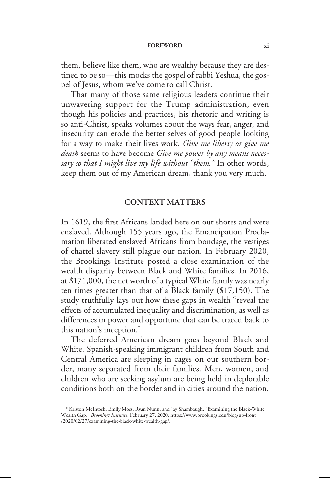#### **Foreword xi**

them, believe like them, who are wealthy because they are destined to be so—this mocks the gospel of rabbi Yeshua, the gospel of Jesus, whom we've come to call Christ.

That many of those same religious leaders continue their unwavering support for the Trump administration, even though his policies and practices, his rhetoric and writing is so anti-Christ, speaks volumes about the ways fear, anger, and insecurity can erode the better selves of good people looking for a way to make their lives work. *Give me liberty or give me death* seems to have become *Give me power by any means necessary so that I might live my life without "them."* In other words, keep them out of my American dream, thank you very much.

### **CONTEXT MATTERS**

In 1619, the first Africans landed here on our shores and were enslaved. Although 155 years ago, the Emancipation Proclamation liberated enslaved Africans from bondage, the vestiges of chattel slavery still plague our nation. In February 2020, the Brookings Institute posted a close examination of the wealth disparity between Black and White families. In 2016, at \$171,000, the net worth of a typical White family was nearly ten times greater than that of a Black family (\$17,150). The study truthfully lays out how these gaps in wealth "reveal the effects of accumulated inequality and discrimination, as well as differences in power and opportune that can be traced back to this nation's inception.\*

The deferred American dream goes beyond Black and White. Spanish-speaking immigrant children from South and Central America are sleeping in cages on our southern border, many separated from their families. Men, women, and children who are seeking asylum are being held in deplorable conditions both on the border and in cities around the nation.

<sup>\*</sup> Kriston McIntosh, Emily Moss, Ryan Nunn, and Jay Shambaugh, "Examining the Black-White Wealth Gap," *Brookings Institute*, February 27, 2020, https://www.brookings.edu/blog/up-front /2020/02/27/examining-the-black-white-wealth-gap/.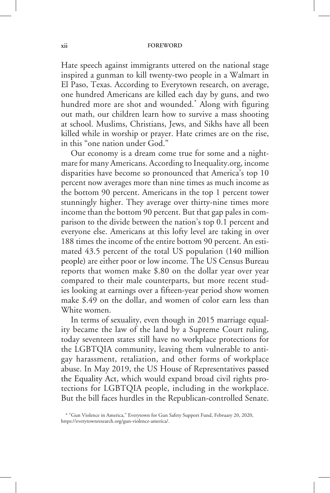#### **xii Foreword**

Hate speech against immigrants uttered on the national stage inspired a gunman to kill twenty-two people in a Walmart in El Paso, Texas. According to Everytown research, on average, one hundred Americans are killed each day by guns, and two hundred more are shot and wounded.\* Along with figuring out math, our children learn how to survive a mass shooting at school. Muslims, Christians, Jews, and Sikhs have all been killed while in worship or prayer. Hate crimes are on the rise, in this "one nation under God."

Our economy is a dream come true for some and a nightmare for many Americans. According to Inequality.org, income disparities have become so pronounced that America's top 10 percent now averages more than nine times as much income as the bottom 90 percent. Americans in the top 1 percent tower stunningly higher. They average over thirty-nine times more income than the bottom 90 percent. But that gap pales in comparison to the divide between the nation's top 0.1 percent and everyone else. Americans at this lofty level are taking in over 188 times the income of the entire bottom 90 percent. An estimated 43.5 percent of the total US population (140 million people) are either poor or low income. The US Census Bureau reports that women make \$.80 on the dollar year over year compared to their male counterparts, but more recent studies looking at earnings over a fifteen-year period show women make \$.49 on the dollar, and women of color earn less than White women.

In terms of sexuality, even though in 2015 marriage equality became the law of the land by a Supreme Court ruling, today seventeen states still have no workplace protections for the LGBTQIA community, leaving them vulnerable to antigay harassment, retaliation, and other forms of workplace abuse. In May 2019, the US House of Representatives passed the Equality Act, which would expand broad civil rights protections for LGBTQIA people, including in the workplace. But the bill faces hurdles in the Republican-controlled Senate.

<sup>\* &</sup>quot;Gun Violence in America," Everytown for Gun Safety Support Fund, February 20, 2020, https://everytownresearch.org/gun-violence-america/.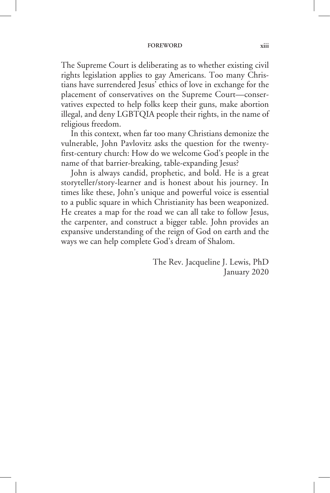#### **Foreword xiii**

The Supreme Court is deliberating as to whether existing civil rights legislation applies to gay Americans. Too many Christians have surrendered Jesus' ethics of love in exchange for the placement of conservatives on the Supreme Court—conservatives expected to help folks keep their guns, make abortion illegal, and deny LGBTQIA people their rights, in the name of religious freedom.

In this context, when far too many Christians demonize the vulnerable, John Pavlovitz asks the question for the twentyfirst-century church: How do we welcome God's people in the name of that barrier-breaking, table-expanding Jesus?

John is always candid, prophetic, and bold. He is a great storyteller/story-learner and is honest about his journey. In times like these, John's unique and powerful voice is essential to a public square in which Christianity has been weaponized. He creates a map for the road we can all take to follow Jesus, the carpenter, and construct a bigger table. John provides an expansive understanding of the reign of God on earth and the ways we can help complete God's dream of Shalom.

> The Rev. Jacqueline J. Lewis, PhD January 2020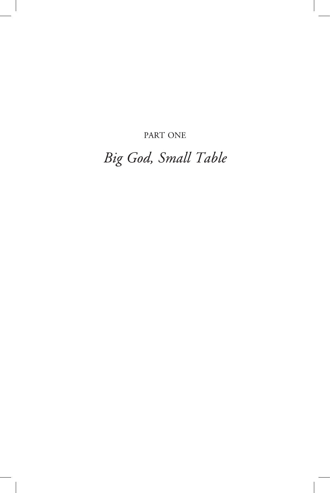PART ONE

Big God, Small Table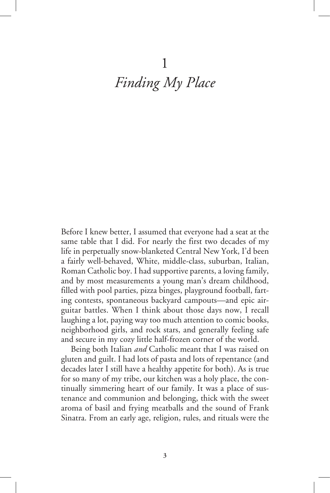1 *Finding My Place*

Before I knew better, I assumed that everyone had a seat at the same table that I did. For nearly the first two decades of my life in perpetually snow-blanketed Central New York, I'd been a fairly well-behaved, White, middle-class, suburban, Italian, Roman Catholic boy. I had supportive parents, a loving family, and by most measurements a young man's dream childhood, filled with pool parties, pizza binges, playground football, farting contests, spontaneous backyard campouts—and epic airguitar battles. When I think about those days now, I recall laughing a lot, paying way too much attention to comic books, neighborhood girls, and rock stars, and generally feeling safe and secure in my cozy little half-frozen corner of the world.

Being both Italian *and* Catholic meant that I was raised on gluten and guilt. I had lots of pasta and lots of repentance (and decades later I still have a healthy appetite for both). As is true for so many of my tribe, our kitchen was a holy place, the continually simmering heart of our family. It was a place of sustenance and communion and belonging, thick with the sweet aroma of basil and frying meatballs and the sound of Frank Sinatra. From an early age, religion, rules, and rituals were the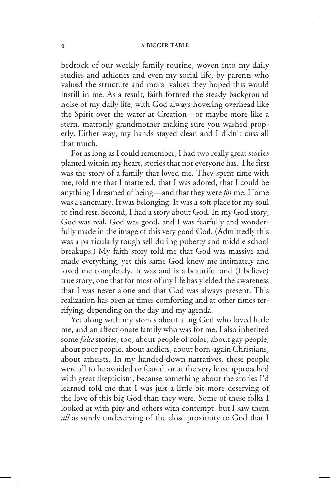bedrock of our weekly family routine, woven into my daily studies and athletics and even my social life, by parents who valued the structure and moral values they hoped this would instill in me. As a result, faith formed the steady background noise of my daily life, with God always hovering overhead like the Spirit over the water at Creation—or maybe more like a stern, matronly grandmother making sure you washed properly. Either way, my hands stayed clean and I didn't cuss all that much.

For as long as I could remember, I had two really great stories planted within my heart, stories that not everyone has. The first was the story of a family that loved me. They spent time with me, told me that I mattered, that I was adored, that I could be anything I dreamed of being—and that they were *for* me. Home was a sanctuary. It was belonging. It was a soft place for my soul to find rest. Second, I had a story about God. In my God story, God was real, God was good, and I was fearfully and wonderfully made in the image of this very good God. (Admittedly this was a particularly tough sell during puberty and middle school breakups.) My faith story told me that God was massive and made everything, yet this same God knew me intimately and loved me completely. It was and is a beautiful and (I believe) true story, one that for most of my life has yielded the awareness that I was never alone and that God was always present. This realization has been at times comforting and at other times terrifying, depending on the day and my agenda.

Yet along with my stories about a big God who loved little me, and an affectionate family who was for me, I also inherited some *false* stories, too, about people of color, about gay people, about poor people, about addicts, about born-again Christians, about atheists. In my handed-down narratives, these people were all to be avoided or feared, or at the very least approached with great skepticism, because something about the stories I'd learned told me that I was just a little bit more deserving of the love of this big God than they were. Some of these folks I looked at with pity and others with contempt, but I saw them *all* as surely undeserving of the close proximity to God that I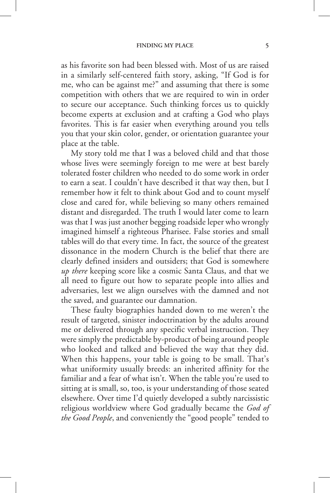as his favorite son had been blessed with. Most of us are raised in a similarly self-centered faith story, asking, "If God is for me, who can be against me?" and assuming that there is some competition with others that we are required to win in order to secure our acceptance. Such thinking forces us to quickly become experts at exclusion and at crafting a God who plays favorites. This is far easier when everything around you tells you that your skin color, gender, or orientation guarantee your place at the table.

My story told me that I was a beloved child and that those whose lives were seemingly foreign to me were at best barely tolerated foster children who needed to do some work in order to earn a seat. I couldn't have described it that way then, but I remember how it felt to think about God and to count myself close and cared for, while believing so many others remained distant and disregarded. The truth I would later come to learn was that I was just another begging roadside leper who wrongly imagined himself a righteous Pharisee. False stories and small tables will do that every time. In fact, the source of the greatest dissonance in the modern Church is the belief that there are clearly defined insiders and outsiders; that God is somewhere *up there* keeping score like a cosmic Santa Claus, and that we all need to figure out how to separate people into allies and adversaries, lest we align ourselves with the damned and not the saved, and guarantee our damnation.

These faulty biographies handed down to me weren't the result of targeted, sinister indoctrination by the adults around me or delivered through any specific verbal instruction. They were simply the predictable by-product of being around people who looked and talked and believed the way that they did. When this happens, your table is going to be small. That's what uniformity usually breeds: an inherited affinity for the familiar and a fear of what isn't. When the table you're used to sitting at is small, so, too, is your understanding of those seated elsewhere. Over time I'd quietly developed a subtly narcissistic religious worldview where God gradually became the *God of the Good People*, and conveniently the "good people" tended to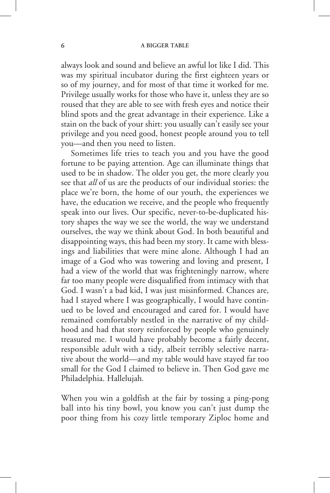always look and sound and believe an awful lot like I did. This was my spiritual incubator during the first eighteen years or so of my journey, and for most of that time it worked for me. Privilege usually works for those who have it, unless they are so roused that they are able to see with fresh eyes and notice their blind spots and the great advantage in their experience. Like a stain on the back of your shirt: you usually can't easily see your privilege and you need good, honest people around you to tell you—and then you need to listen.

Sometimes life tries to teach you and you have the good fortune to be paying attention. Age can illuminate things that used to be in shadow. The older you get, the more clearly you see that *all* of us are the products of our individual stories: the place we're born, the home of our youth, the experiences we have, the education we receive, and the people who frequently speak into our lives. Our specific, never-to-be-duplicated history shapes the way we see the world, the way we understand ourselves, the way we think about God. In both beautiful and disappointing ways, this had been my story. It came with blessings and liabilities that were mine alone. Although I had an image of a God who was towering and loving and present, I had a view of the world that was frighteningly narrow, where far too many people were disqualified from intimacy with that God. I wasn't a bad kid, I was just misinformed. Chances are, had I stayed where I was geographically, I would have continued to be loved and encouraged and cared for. I would have remained comfortably nestled in the narrative of my childhood and had that story reinforced by people who genuinely treasured me. I would have probably become a fairly decent, responsible adult with a tidy, albeit terribly selective narrative about the world—and my table would have stayed far too small for the God I claimed to believe in. Then God gave me Philadelphia. Hallelujah*.*

When you win a goldfish at the fair by tossing a ping-pong ball into his tiny bowl, you know you can't just dump the poor thing from his cozy little temporary Ziploc home and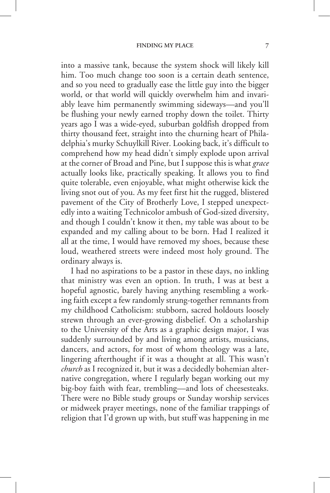into a massive tank, because the system shock will likely kill him. Too much change too soon is a certain death sentence, and so you need to gradually ease the little guy into the bigger world, or that world will quickly overwhelm him and invariably leave him permanently swimming sideways—and you'll be flushing your newly earned trophy down the toilet. Thirty years ago I was a wide-eyed, suburban goldfish dropped from thirty thousand feet, straight into the churning heart of Philadelphia's murky Schuylkill River. Looking back, it's difficult to comprehend how my head didn't simply explode upon arrival at the corner of Broad and Pine, but I suppose this is what *grace* actually looks like, practically speaking. It allows you to find quite tolerable, even enjoyable, what might otherwise kick the living snot out of you. As my feet first hit the rugged, blistered pavement of the City of Brotherly Love, I stepped unexpectedly into a waiting Technicolor ambush of God-sized diversity, and though I couldn't know it then, my table was about to be expanded and my calling about to be born. Had I realized it all at the time, I would have removed my shoes, because these loud, weathered streets were indeed most holy ground. The ordinary always is.

I had no aspirations to be a pastor in these days, no inkling that ministry was even an option. In truth, I was at best a hopeful agnostic, barely having anything resembling a working faith except a few randomly strung-together remnants from my childhood Catholicism: stubborn, sacred holdouts loosely strewn through an ever-growing disbelief. On a scholarship to the University of the Arts as a graphic design major, I was suddenly surrounded by and living among artists, musicians, dancers, and actors, for most of whom theology was a late, lingering afterthought if it was a thought at all. This wasn't *church* as I recognized it, but it was a decidedly bohemian alternative congregation, where I regularly began working out my big-boy faith with fear, trembling—and lots of cheesesteaks. There were no Bible study groups or Sunday worship services or midweek prayer meetings, none of the familiar trappings of religion that I'd grown up with, but stuff was happening in me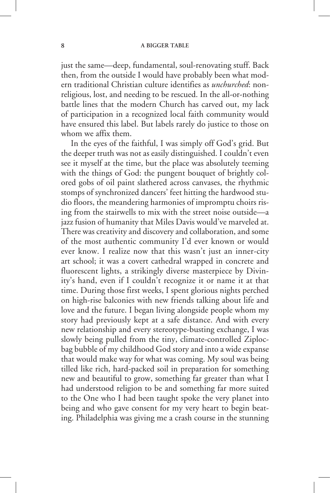just the same—deep, fundamental, soul-renovating stuff. Back then, from the outside I would have probably been what modern traditional Christian culture identifies as *unchurched*: nonreligious, lost, and needing to be rescued. In the all-or-nothing battle lines that the modern Church has carved out, my lack of participation in a recognized local faith community would have ensured this label. But labels rarely do justice to those on whom we affix them.

In the eyes of the faithful, I was simply off God's grid. But the deeper truth was not as easily distinguished. I couldn't even see it myself at the time, but the place was absolutely teeming with the things of God: the pungent bouquet of brightly colored gobs of oil paint slathered across canvases, the rhythmic stomps of synchronized dancers' feet hitting the hardwood studio floors, the meandering harmonies of impromptu choirs rising from the stairwells to mix with the street noise outside—a jazz fusion of humanity that Miles Davis would've marveled at. There was creativity and discovery and collaboration, and some of the most authentic community I'd ever known or would ever know. I realize now that this wasn't just an inner-city art school; it was a covert cathedral wrapped in concrete and fluorescent lights, a strikingly diverse masterpiece by Divinity's hand, even if I couldn't recognize it or name it at that time. During those first weeks, I spent glorious nights perched on high-rise balconies with new friends talking about life and love and the future. I began living alongside people whom my story had previously kept at a safe distance. And with every new relationship and every stereotype-busting exchange, I was slowly being pulled from the tiny, climate-controlled Ziplocbag bubble of my childhood God story and into a wide expanse that would make way for what was coming. My soul was being tilled like rich, hard-packed soil in preparation for something new and beautiful to grow, something far greater than what I had understood religion to be and something far more suited to the One who I had been taught spoke the very planet into being and who gave consent for my very heart to begin beating. Philadelphia was giving me a crash course in the stunning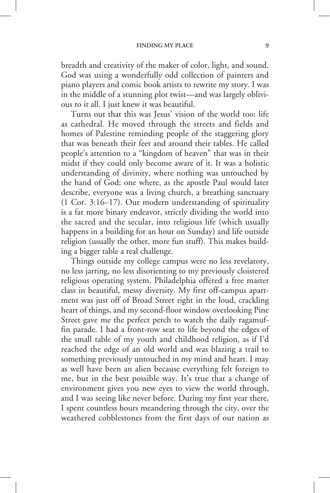breadth and creativity of the maker of color, light, and sound. God was using a wonderfully odd collection of painters and piano players and comic book artists to rewrite my story. I was in the middle of a stunning plot twist—and was largely oblivious to it all. I just knew it was beautiful.

Turns out that this was Jesus' vision of the world too: life as cathedral. He moved through the streets and fields and homes of Palestine reminding people of the staggering glory that was beneath their feet and around their tables. He called people's attention to a "kingdom of heaven" that was in their midst if they could only become aware of it. It was a holistic understanding of divinity, where nothing was untouched by the hand of God; one where, as the apostle Paul would later describe, everyone was a living church, a breathing sanctuary (1 Cor. 3:16–17). Our modern understanding of spirituality is a far more binary endeavor, strictly dividing the world into the sacred and the secular, into religious life (which usually happens in a building for an hour on Sunday) and life outside religion (usually the other, more fun stuff). This makes building a bigger table a real challenge.

Things outside my college campus were no less revelatory, no less jarring, no less disorienting to my previously cloistered religious operating system. Philadelphia offered a free master class in beautiful, messy diversity. My first off-campus apartment was just off of Broad Street right in the loud, crackling heart of things, and my second-floor window overlooking Pine Street gave me the perfect perch to watch the daily ragamuffin parade. I had a front-row seat to life beyond the edges of the small table of my youth and childhood religion, as if I'd reached the edge of an old world and was blazing a trail to something previously untouched in my mind and heart. I may as well have been an alien because everything felt foreign to me, but in the best possible way. It's true that a change of environment gives you new eyes to view the world through, and I was seeing like never before. During my first year there, I spent countless hours meandering through the city, over the weathered cobblestones from the first days of our nation as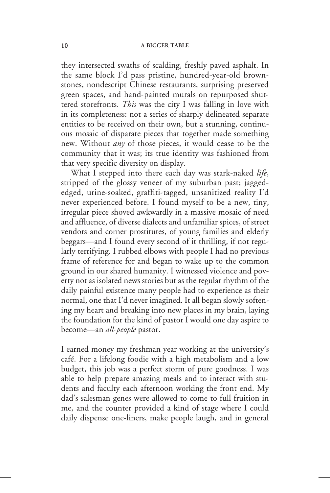they intersected swaths of scalding, freshly paved asphalt. In the same block I'd pass pristine, hundred-year-old brownstones, nondescript Chinese restaurants, surprising preserved green spaces, and hand-painted murals on repurposed shuttered storefronts. *This* was the city I was falling in love with in its completeness: not a series of sharply delineated separate entities to be received on their own, but a stunning, continuous mosaic of disparate pieces that together made something new. Without *any* of those pieces, it would cease to be the community that it was; its true identity was fashioned from that very specific diversity on display.

What I stepped into there each day was stark-naked *life*, stripped of the glossy veneer of my suburban past; jaggededged, urine-soaked, graffiti-tagged, unsanitized reality I'd never experienced before. I found myself to be a new, tiny, irregular piece shoved awkwardly in a massive mosaic of need and affluence, of diverse dialects and unfamiliar spices, of street vendors and corner prostitutes, of young families and elderly beggars—and I found every second of it thrilling, if not regularly terrifying. I rubbed elbows with people I had no previous frame of reference for and began to wake up to the common ground in our shared humanity. I witnessed violence and poverty not as isolated news stories but as the regular rhythm of the daily painful existence many people had to experience as their normal, one that I'd never imagined. It all began slowly softening my heart and breaking into new places in my brain, laying the foundation for the kind of pastor I would one day aspire to become—an *all-people* pastor.

I earned money my freshman year working at the university's café. For a lifelong foodie with a high metabolism and a low budget, this job was a perfect storm of pure goodness. I was able to help prepare amazing meals and to interact with students and faculty each afternoon working the front end. My dad's salesman genes were allowed to come to full fruition in me, and the counter provided a kind of stage where I could daily dispense one-liners, make people laugh, and in general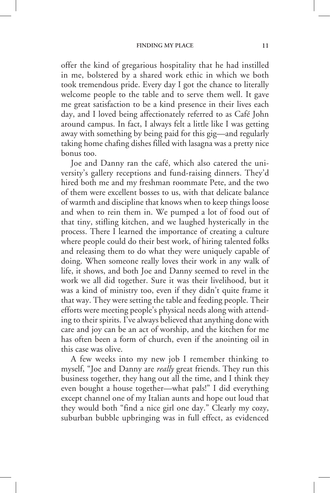offer the kind of gregarious hospitality that he had instilled in me, bolstered by a shared work ethic in which we both took tremendous pride. Every day I got the chance to literally welcome people to the table and to serve them well. It gave me great satisfaction to be a kind presence in their lives each day, and I loved being affectionately referred to as Café John around campus. In fact, I always felt a little like I was getting away with something by being paid for this gig—and regularly taking home chafing dishes filled with lasagna was a pretty nice bonus too.

Joe and Danny ran the café, which also catered the university's gallery receptions and fund-raising dinners. They'd hired both me and my freshman roommate Pete, and the two of them were excellent bosses to us, with that delicate balance of warmth and discipline that knows when to keep things loose and when to rein them in. We pumped a lot of food out of that tiny, stifling kitchen, and we laughed hysterically in the process. There I learned the importance of creating a culture where people could do their best work, of hiring talented folks and releasing them to do what they were uniquely capable of doing. When someone really loves their work in any walk of life, it shows, and both Joe and Danny seemed to revel in the work we all did together. Sure it was their livelihood, but it was a kind of ministry too, even if they didn't quite frame it that way. They were setting the table and feeding people. Their efforts were meeting people's physical needs along with attending to their spirits. I've always believed that anything done with care and joy can be an act of worship, and the kitchen for me has often been a form of church, even if the anointing oil in this case was olive.

A few weeks into my new job I remember thinking to myself, "Joe and Danny are *really* great friends. They run this business together, they hang out all the time, and I think they even bought a house together—what pals!" I did everything except channel one of my Italian aunts and hope out loud that they would both "find a nice girl one day." Clearly my cozy, suburban bubble upbringing was in full effect, as evidenced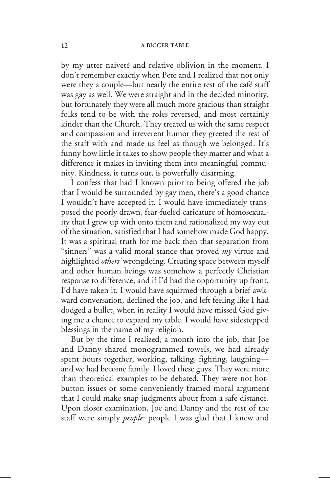by my utter naiveté and relative oblivion in the moment. I don't remember exactly when Pete and I realized that not only were they a couple—but nearly the entire rest of the café staff was gay as well. We were straight and in the decided minority, but fortunately they were all much more gracious than straight folks tend to be with the roles reversed, and most certainly kinder than the Church. They treated us with the same respect and compassion and irreverent humor they greeted the rest of the staff with and made us feel as though we belonged. It's funny how little it takes to show people they matter and what a difference it makes in inviting them into meaningful community. Kindness, it turns out, is powerfully disarming.

I confess that had I known prior to being offered the job that I would be surrounded by gay men, there's a good chance I wouldn't have accepted it. I would have immediately transposed the poorly drawn, fear-fueled caricature of homosexuality that I grew up with onto them and rationalized my way out of the situation, satisfied that I had somehow made God happy. It was a spiritual truth for me back then that separation from "sinners" was a valid moral stance that proved *my* virtue and highlighted *others'* wrongdoing. Creating space between myself and other human beings was somehow a perfectly Christian response to difference, and if I'd had the opportunity up front, I'd have taken it. I would have squirmed through a brief awkward conversation, declined the job, and left feeling like I had dodged a bullet, when in reality I would have missed God giving me a chance to expand my table. I would have sidestepped blessings in the name of my religion.

But by the time I realized, a month into the job, that Joe and Danny shared monogrammed towels, we had already spent hours together, working, talking, fighting, laughing and we had become family. I loved these guys. They were more than theoretical examples to be debated. They were not hotbutton issues or some conveniently framed moral argument that I could make snap judgments about from a safe distance. Upon closer examination, Joe and Danny and the rest of the staff were simply *people*: people I was glad that I knew and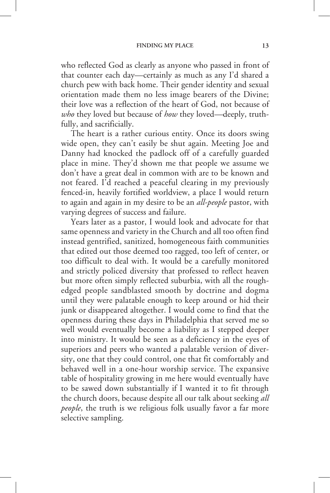who reflected God as clearly as anyone who passed in front of that counter each day—certainly as much as any I'd shared a church pew with back home. Their gender identity and sexual orientation made them no less image bearers of the Divine; their love was a reflection of the heart of God, not because of *who* they loved but because of *how* they loved*—*deeply, truthfully, and sacrificially.

The heart is a rather curious entity. Once its doors swing wide open, they can't easily be shut again. Meeting Joe and Danny had knocked the padlock off of a carefully guarded place in mine. They'd shown me that people we assume we don't have a great deal in common with are to be known and not feared. I'd reached a peaceful clearing in my previously fenced-in, heavily fortified worldview, a place I would return to again and again in my desire to be an *all-people* pastor, with varying degrees of success and failure.

Years later as a pastor, I would look and advocate for that same openness and variety in the Church and all too often find instead gentrified, sanitized, homogeneous faith communities that edited out those deemed too ragged, too left of center, or too difficult to deal with. It would be a carefully monitored and strictly policed diversity that professed to reflect heaven but more often simply reflected suburbia, with all the roughedged people sandblasted smooth by doctrine and dogma until they were palatable enough to keep around or hid their junk or disappeared altogether. I would come to find that the openness during these days in Philadelphia that served me so well would eventually become a liability as I stepped deeper into ministry. It would be seen as a deficiency in the eyes of superiors and peers who wanted a palatable version of diversity, one that they could control, one that fit comfortably and behaved well in a one-hour worship service. The expansive table of hospitality growing in me here would eventually have to be sawed down substantially if I wanted it to fit through the church doors, because despite all our talk about seeking *all people*, the truth is we religious folk usually favor a far more selective sampling.